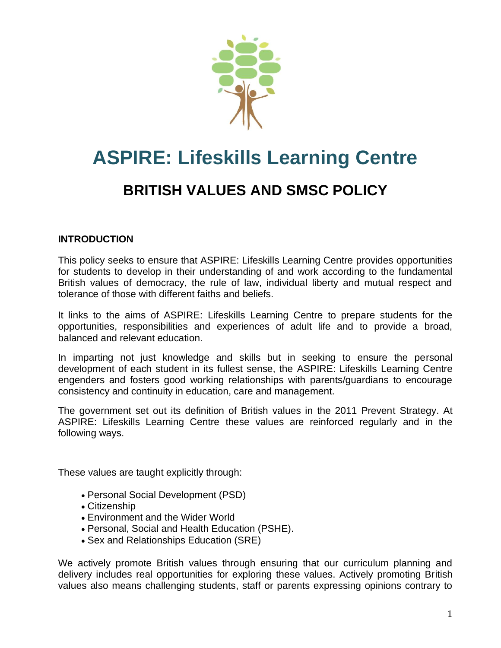

# **ASPIRE: Lifeskills Learning Centre**

# **BRITISH VALUES AND SMSC POLICY**

#### **INTRODUCTION**

This policy seeks to ensure that ASPIRE: Lifeskills Learning Centre provides opportunities for students to develop in their understanding of and work according to the fundamental British values of democracy, the rule of law, individual liberty and mutual respect and tolerance of those with different faiths and beliefs.

It links to the aims of ASPIRE: Lifeskills Learning Centre to prepare students for the opportunities, responsibilities and experiences of adult life and to provide a broad, balanced and relevant education.

In imparting not just knowledge and skills but in seeking to ensure the personal development of each student in its fullest sense, the ASPIRE: Lifeskills Learning Centre engenders and fosters good working relationships with parents/guardians to encourage consistency and continuity in education, care and management.

The government set out its definition of British values in the 2011 Prevent Strategy. At ASPIRE: Lifeskills Learning Centre these values are reinforced regularly and in the following ways.

These values are taught explicitly through:

- Personal Social Development (PSD)
- Citizenship
- Environment and the Wider World
- Personal, Social and Health Education (PSHE).
- Sex and Relationships Education (SRE)

We actively promote British values through ensuring that our curriculum planning and delivery includes real opportunities for exploring these values. Actively promoting British values also means challenging students, staff or parents expressing opinions contrary to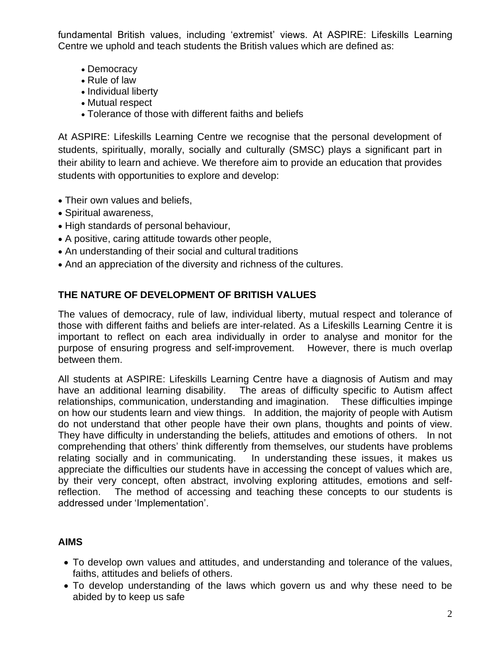fundamental British values, including 'extremist' views. At ASPIRE: Lifeskills Learning Centre we uphold and teach students the British values which are defined as:

- Democracy
- Rule of law
- Individual liberty
- Mutual respect
- Tolerance of those with different faiths and beliefs

At ASPIRE: Lifeskills Learning Centre we recognise that the personal development of students, spiritually, morally, socially and culturally (SMSC) plays a significant part in their ability to learn and achieve. We therefore aim to provide an education that provides students with opportunities to explore and develop:

- Their own values and beliefs,
- Spiritual awareness,
- High standards of personal behaviour,
- A positive, caring attitude towards other people,
- An understanding of their social and cultural traditions
- And an appreciation of the diversity and richness of the cultures.

# **THE NATURE OF DEVELOPMENT OF BRITISH VALUES**

The values of democracy, rule of law, individual liberty, mutual respect and tolerance of those with different faiths and beliefs are inter-related. As a Lifeskills Learning Centre it is important to reflect on each area individually in order to analyse and monitor for the purpose of ensuring progress and self-improvement. However, there is much overlap between them.

All students at ASPIRE: Lifeskills Learning Centre have a diagnosis of Autism and may have an additional learning disability. The areas of difficulty specific to Autism affect relationships, communication, understanding and imagination. These difficulties impinge on how our students learn and view things. In addition, the majority of people with Autism do not understand that other people have their own plans, thoughts and points of view. They have difficulty in understanding the beliefs, attitudes and emotions of others. In not comprehending that others' think differently from themselves, our students have problems relating socially and in communicating. In understanding these issues, it makes us appreciate the difficulties our students have in accessing the concept of values which are, by their very concept, often abstract, involving exploring attitudes, emotions and selfreflection. The method of accessing and teaching these concepts to our students is addressed under 'Implementation'.

# **AIMS**

- To develop own values and attitudes, and understanding and tolerance of the values, faiths, attitudes and beliefs of others.
- To develop understanding of the laws which govern us and why these need to be abided by to keep us safe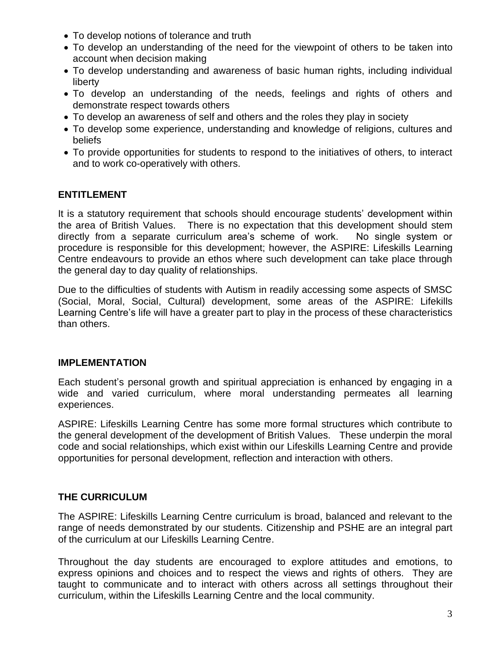- To develop notions of tolerance and truth
- To develop an understanding of the need for the viewpoint of others to be taken into account when decision making
- To develop understanding and awareness of basic human rights, including individual liberty
- To develop an understanding of the needs, feelings and rights of others and demonstrate respect towards others
- To develop an awareness of self and others and the roles they play in society
- To develop some experience, understanding and knowledge of religions, cultures and beliefs
- To provide opportunities for students to respond to the initiatives of others, to interact and to work co-operatively with others.

#### **ENTITLEMENT**

It is a statutory requirement that schools should encourage students' development within the area of British Values. There is no expectation that this development should stem directly from a separate curriculum area's scheme of work. No single system or procedure is responsible for this development; however, the ASPIRE: Lifeskills Learning Centre endeavours to provide an ethos where such development can take place through the general day to day quality of relationships.

Due to the difficulties of students with Autism in readily accessing some aspects of SMSC (Social, Moral, Social, Cultural) development, some areas of the ASPIRE: Lifekills Learning Centre's life will have a greater part to play in the process of these characteristics than others.

#### **IMPLEMENTATION**

Each student's personal growth and spiritual appreciation is enhanced by engaging in a wide and varied curriculum, where moral understanding permeates all learning experiences.

ASPIRE: Lifeskills Learning Centre has some more formal structures which contribute to the general development of the development of British Values. These underpin the moral code and social relationships, which exist within our Lifeskills Learning Centre and provide opportunities for personal development, reflection and interaction with others.

#### **THE CURRICULUM**

The ASPIRE: Lifeskills Learning Centre curriculum is broad, balanced and relevant to the range of needs demonstrated by our students. Citizenship and PSHE are an integral part of the curriculum at our Lifeskills Learning Centre.

Throughout the day students are encouraged to explore attitudes and emotions, to express opinions and choices and to respect the views and rights of others. They are taught to communicate and to interact with others across all settings throughout their curriculum, within the Lifeskills Learning Centre and the local community.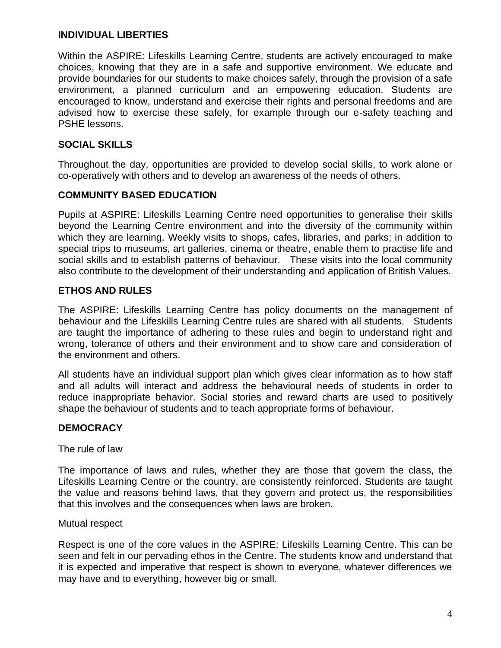#### **INDIVIDUAL LIBERTIES**

Within the ASPIRE: Lifeskills Learning Centre, students are actively encouraged to make choices, knowing that they are in a safe and supportive environment. We educate and provide boundaries for our students to make choices safely, through the provision of a safe environment, a planned curriculum and an empowering education. Students are encouraged to know, understand and exercise their rights and personal freedoms and are advised how to exercise these safely, for example through our e-safety teaching and PSHE lessons.

#### **SOCIAL SKILLS**

Throughout the day, opportunities are provided to develop social skills, to work alone or co-operatively with others and to develop an awareness of the needs of others.

#### **COMMUNITY BASED EDUCATION**

Pupils at ASPIRE: Lifeskills Learning Centre need opportunities to generalise their skills beyond the Learning Centre environment and into the diversity of the community within which they are learning. Weekly visits to shops, cafes, libraries, and parks; in addition to special trips to museums, art galleries, cinema or theatre, enable them to practise life and social skills and to establish patterns of behaviour. These visits into the local community also contribute to the development of their understanding and application of British Values.

# **ETHOS AND RULES**

The ASPIRE: Lifeskills Learning Centre has policy documents on the management of behaviour and the Lifeskills Learning Centre rules are shared with all students. Students are taught the importance of adhering to these rules and begin to understand right and wrong, tolerance of others and their environment and to show care and consideration of the environment and others.

All students have an individual support plan which gives clear information as to how staff and all adults will interact and address the behavioural needs of students in order to reduce inappropriate behavior. Social stories and reward charts are used to positively shape the behaviour of students and to teach appropriate forms of behaviour.

# **DEMOCRACY**

The rule of law

The importance of laws and rules, whether they are those that govern the class, the Lifeskills Learning Centre or the country, are consistently reinforced. Students are taught the value and reasons behind laws, that they govern and protect us, the responsibilities that this involves and the consequences when laws are broken.

#### Mutual respect

Respect is one of the core values in the ASPIRE: Lifeskills Learning Centre. This can be seen and felt in our pervading ethos in the Centre. The students know and understand that it is expected and imperative that respect is shown to everyone, whatever differences we may have and to everything, however big or small.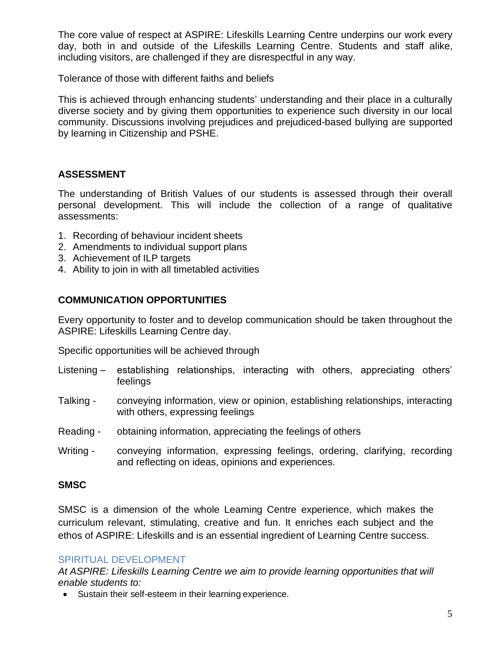The core value of respect at ASPIRE: Lifeskills Learning Centre underpins our work every day, both in and outside of the Lifeskills Learning Centre. Students and staff alike, including visitors, are challenged if they are disrespectful in any way.

Tolerance of those with different faiths and beliefs

This is achieved through enhancing students' understanding and their place in a culturally diverse society and by giving them opportunities to experience such diversity in our local community. Discussions involving prejudices and prejudiced-based bullying are supported by learning in Citizenship and PSHE.

#### **ASSESSMENT**

The understanding of British Values of our students is assessed through their overall personal development. This will include the collection of a range of qualitative assessments:

- 1. Recording of behaviour incident sheets
- 2. Amendments to individual support plans
- 3. Achievement of ILP targets
- 4. Ability to join in with all timetabled activities

# **COMMUNICATION OPPORTUNITIES**

Every opportunity to foster and to develop communication should be taken throughout the ASPIRE: Lifeskills Learning Centre day.

Specific opportunities will be achieved through

- Listening establishing relationships, interacting with others, appreciating others' feelings
- Talking conveying information, view or opinion, establishing relationships, interacting with others, expressing feelings
- Reading obtaining information, appreciating the feelings of others
- Writing conveying information, expressing feelings, ordering, clarifying, recording and reflecting on ideas, opinions and experiences.

#### **SMSC**

SMSC is a dimension of the whole Learning Centre experience, which makes the curriculum relevant, stimulating, creative and fun. It enriches each subject and the ethos of ASPIRE: Lifeskills and is an essential ingredient of Learning Centre success.

#### SPIRITUAL DEVELOPMENT

*At ASPIRE: Lifeskills Learning Centre we aim to provide learning opportunities that will enable students to:*

• Sustain their self-esteem in their learning experience.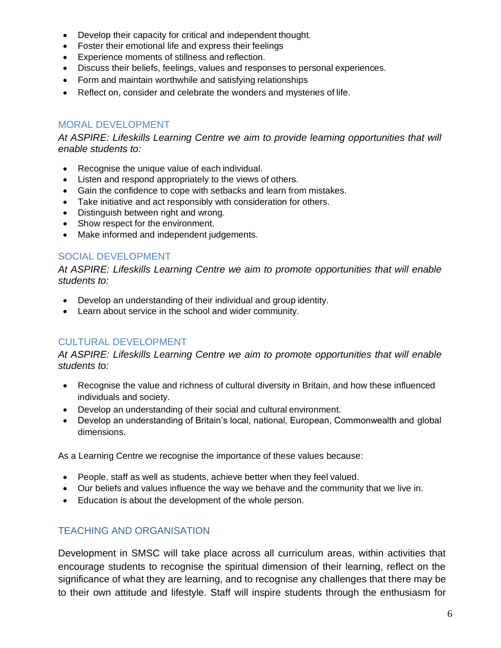- Develop their capacity for critical and independent thought.
- Foster their emotional life and express their feelings
- Experience moments of stillness and reflection.
- Discuss their beliefs, feelings, values and responses to personal experiences.
- Form and maintain worthwhile and satisfying relationships
- Reflect on, consider and celebrate the wonders and mysteries of life.

#### MORAL DEVELOPMENT

*At ASPIRE: Lifeskills Learning Centre we aim to provide learning opportunities that will enable students to:*

- Recognise the unique value of each individual.
- Listen and respond appropriately to the views of others.
- Gain the confidence to cope with setbacks and learn from mistakes.
- Take initiative and act responsibly with consideration for others.
- Distinguish between right and wrong.
- Show respect for the environment.
- Make informed and independent judgements.

#### SOCIAL DEVELOPMENT

*At ASPIRE: Lifeskills Learning Centre we aim to promote opportunities that will enable students to:*

- Develop an understanding of their individual and group identity.
- Learn about service in the school and wider community.

#### CULTURAL DEVELOPMENT

*At ASPIRE: Lifeskills Learning Centre we aim to promote opportunities that will enable students to:*

- Recognise the value and richness of cultural diversity in Britain, and how these influenced individuals and society.
- Develop an understanding of their social and cultural environment.
- Develop an understanding of Britain's local, national, European, Commonwealth and global dimensions.

As a Learning Centre we recognise the importance of these values because:

- People, staff as well as students, achieve better when they feel valued.
- Our beliefs and values influence the way we behave and the community that we live in.
- Education is about the development of the whole person.

#### TEACHING AND ORGANISATION

Development in SMSC will take place across all curriculum areas, within activities that encourage students to recognise the spiritual dimension of their learning, reflect on the significance of what they are learning, and to recognise any challenges that there may be to their own attitude and lifestyle. Staff will inspire students through the enthusiasm for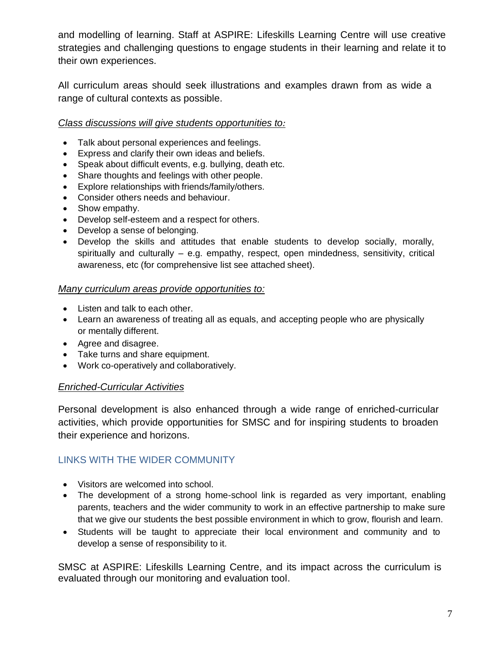and modelling of learning. Staff at ASPIRE: Lifeskills Learning Centre will use creative strategies and challenging questions to engage students in their learning and relate it to their own experiences.

All curriculum areas should seek illustrations and examples drawn from as wide a range of cultural contexts as possible.

#### *Class discussions will give students opportunities to:*

- Talk about personal experiences and feelings.
- Express and clarify their own ideas and beliefs.
- Speak about difficult events, e.g. bullying, death etc.
- Share thoughts and feelings with other people.
- Explore relationships with friends/family/others.
- Consider others needs and behaviour.
- Show empathy.
- Develop self-esteem and a respect for others.
- Develop a sense of belonging.
- Develop the skills and attitudes that enable students to develop socially, morally, spiritually and culturally – e.g. empathy, respect, open mindedness, sensitivity, critical awareness, etc (for comprehensive list see attached sheet).

#### *Many curriculum areas provide opportunities to:*

- Listen and talk to each other.
- Learn an awareness of treating all as equals, and accepting people who are physically or mentally different.
- Agree and disagree.
- Take turns and share equipment.
- Work co-operatively and collaboratively.

#### *Enriched-Curricular Activities*

Personal development is also enhanced through a wide range of enriched-curricular activities, which provide opportunities for SMSC and for inspiring students to broaden their experience and horizons.

#### LINKS WITH THE WIDER COMMUNITY

- Visitors are welcomed into school.
- The development of a strong home-school link is regarded as very important, enabling parents, teachers and the wider community to work in an effective partnership to make sure that we give our students the best possible environment in which to grow, flourish and learn.
- Students will be taught to appreciate their local environment and community and to develop a sense of responsibility to it.

SMSC at ASPIRE: Lifeskills Learning Centre, and its impact across the curriculum is evaluated through our monitoring and evaluation tool.